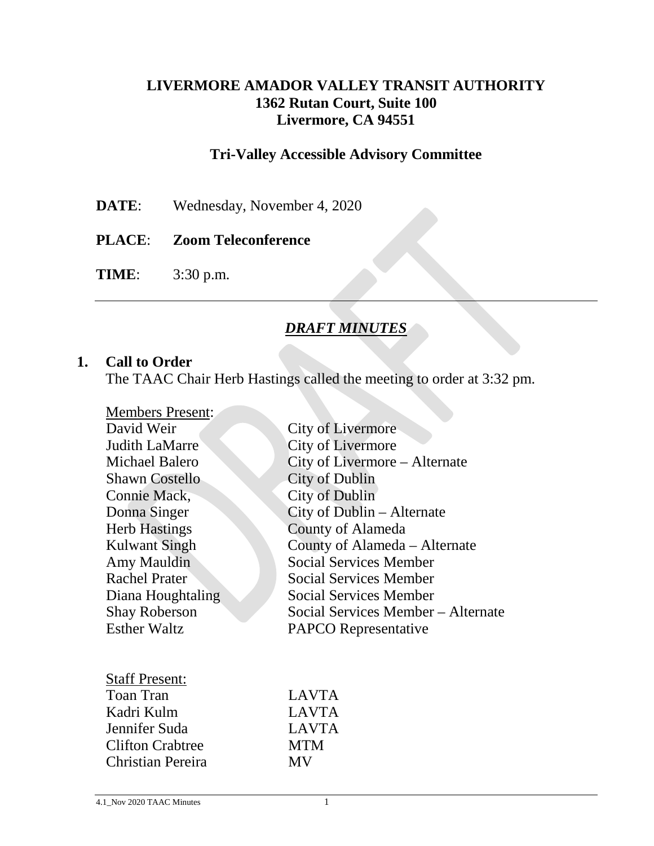## **LIVERMORE AMADOR VALLEY TRANSIT AUTHORITY 1362 Rutan Court, Suite 100 Livermore, CA 94551**

## **Tri-Valley Accessible Advisory Committee**

- **DATE**: Wednesday, November 4, 2020
- **PLACE**: **Zoom Teleconference**

**TIME**: 3:30 p.m.

### *DRAFT MINUTES*

#### **1. Call to Order**

The TAAC Chair Herb Hastings called the meeting to order at 3:32 pm.

| <b>Members Present:</b> |                                    |
|-------------------------|------------------------------------|
| David Weir              | City of Livermore                  |
| <b>Judith LaMarre</b>   | City of Livermore                  |
| Michael Balero          | City of Livermore - Alternate      |
| <b>Shawn Costello</b>   | <b>City of Dublin</b>              |
| Connie Mack,            | City of Dublin                     |
| Donna Singer            | City of Dublin – Alternate         |
| <b>Herb Hastings</b>    | County of Alameda                  |
| <b>Kulwant Singh</b>    | County of Alameda – Alternate      |
| Amy Mauldin             | <b>Social Services Member</b>      |
| <b>Rachel Prater</b>    | <b>Social Services Member</b>      |
| Diana Houghtaling       | <b>Social Services Member</b>      |
| <b>Shay Roberson</b>    | Social Services Member – Alternate |
| <b>Esther Waltz</b>     | <b>PAPCO</b> Representative        |
|                         |                                    |
|                         |                                    |
| <b>Staff Present:</b>   |                                    |
| <b>Toan Tran</b>        | <b>LAVTA</b>                       |
| Kadri Kulm              | <b>LAVTA</b>                       |
| Jennifer Suda           | <b>LAVTA</b>                       |
| <b>Clifton Crabtree</b> | <b>MTM</b>                         |
| Christian Pereira       | <b>MV</b>                          |
|                         |                                    |